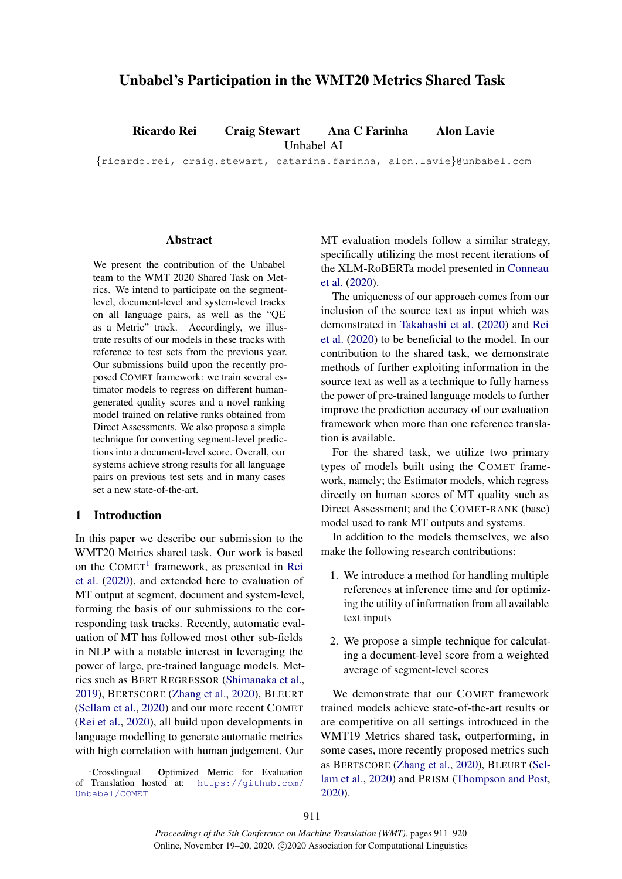# Unbabel's Participation in the WMT20 Metrics Shared Task

Ricardo Rei Craig Stewart Ana C Farinha Alon Lavie

Unbabel AI

{ricardo.rei, craig.stewart, catarina.farinha, alon.lavie}@unbabel.com

### Abstract

We present the contribution of the Unbabel team to the WMT 2020 Shared Task on Metrics. We intend to participate on the segmentlevel, document-level and system-level tracks on all language pairs, as well as the "QE as a Metric" track. Accordingly, we illustrate results of our models in these tracks with reference to test sets from the previous year. Our submissions build upon the recently proposed COMET framework: we train several estimator models to regress on different humangenerated quality scores and a novel ranking model trained on relative ranks obtained from Direct Assessments. We also propose a simple technique for converting segment-level predictions into a document-level score. Overall, our systems achieve strong results for all language pairs on previous test sets and in many cases set a new state-of-the-art.

#### 1 Introduction

In this paper we describe our submission to the WMT20 Metrics shared task. Our work is based on the COMET<sup>[1](#page-0-0)</sup> framework, as presented in [Rei](#page-7-0) [et al.](#page-7-0) [\(2020\)](#page-7-0), and extended here to evaluation of MT output at segment, document and system-level, forming the basis of our submissions to the corresponding task tracks. Recently, automatic evaluation of MT has followed most other sub-fields in NLP with a notable interest in leveraging the power of large, pre-trained language models. Metrics such as BERT REGRESSOR [\(Shimanaka et al.,](#page-7-1) [2019\)](#page-7-1), BERTSCORE [\(Zhang et al.,](#page-7-2) [2020\)](#page-7-2), BLEURT [\(Sellam et al.,](#page-7-3) [2020\)](#page-7-3) and our more recent COMET [\(Rei et al.,](#page-7-0) [2020\)](#page-7-0), all build upon developments in language modelling to generate automatic metrics with high correlation with human judgement. Our

MT evaluation models follow a similar strategy, specifically utilizing the most recent iterations of the XLM-RoBERTa model presented in [Conneau](#page-6-0) [et al.](#page-6-0) [\(2020\)](#page-6-0).

The uniqueness of our approach comes from our inclusion of the source text as input which was demonstrated in [Takahashi et al.](#page-7-4) [\(2020\)](#page-7-4) and [Rei](#page-7-0) [et al.](#page-7-0) [\(2020\)](#page-7-0) to be beneficial to the model. In our contribution to the shared task, we demonstrate methods of further exploiting information in the source text as well as a technique to fully harness the power of pre-trained language models to further improve the prediction accuracy of our evaluation framework when more than one reference translation is available.

For the shared task, we utilize two primary types of models built using the COMET framework, namely; the Estimator models, which regress directly on human scores of MT quality such as Direct Assessment; and the COMET-RANK (base) model used to rank MT outputs and systems.

In addition to the models themselves, we also make the following research contributions:

- 1. We introduce a method for handling multiple references at inference time and for optimizing the utility of information from all available text inputs
- 2. We propose a simple technique for calculating a document-level score from a weighted average of segment-level scores

We demonstrate that our COMET framework trained models achieve state-of-the-art results or are competitive on all settings introduced in the WMT19 Metrics shared task, outperforming, in some cases, more recently proposed metrics such as BERTSCORE [\(Zhang et al.,](#page-7-2) [2020\)](#page-7-2), BLEURT [\(Sel](#page-7-3)[lam et al.,](#page-7-3) [2020\)](#page-7-3) and PRISM [\(Thompson and Post,](#page-7-5) [2020\)](#page-7-5).

<span id="page-0-0"></span><sup>1</sup>Crosslingual Optimized Metric for Evaluation of Translation hosted at: [https://github.com/](https://github.com/Unbabel/COMET) [Unbabel/COMET](https://github.com/Unbabel/COMET)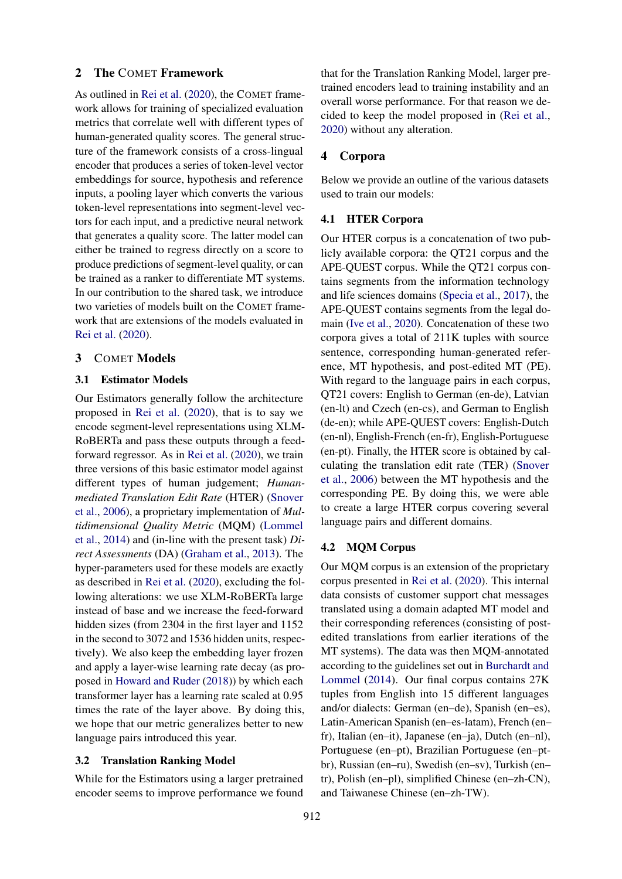#### 2 The COMET Framework

As outlined in [Rei et al.](#page-7-0) [\(2020\)](#page-7-0), the COMET framework allows for training of specialized evaluation metrics that correlate well with different types of human-generated quality scores. The general structure of the framework consists of a cross-lingual encoder that produces a series of token-level vector embeddings for source, hypothesis and reference inputs, a pooling layer which converts the various token-level representations into segment-level vectors for each input, and a predictive neural network that generates a quality score. The latter model can either be trained to regress directly on a score to produce predictions of segment-level quality, or can be trained as a ranker to differentiate MT systems. In our contribution to the shared task, we introduce two varieties of models built on the COMET framework that are extensions of the models evaluated in [Rei et al.](#page-7-0) [\(2020\)](#page-7-0).

#### 3 COMET Models

#### 3.1 Estimator Models

Our Estimators generally follow the architecture proposed in [Rei et al.](#page-7-0) [\(2020\)](#page-7-0), that is to say we encode segment-level representations using XLM-RoBERTa and pass these outputs through a feedforward regressor. As in [Rei et al.](#page-7-0) [\(2020\)](#page-7-0), we train three versions of this basic estimator model against different types of human judgement; *Humanmediated Translation Edit Rate* (HTER) [\(Snover](#page-7-6) [et al.,](#page-7-6) [2006\)](#page-7-6), a proprietary implementation of *Multidimensional Quality Metric* (MQM) [\(Lommel](#page-6-1) [et al.,](#page-6-1) [2014\)](#page-6-1) and (in-line with the present task) *Direct Assessments* (DA) [\(Graham et al.,](#page-6-2) [2013\)](#page-6-2). The hyper-parameters used for these models are exactly as described in [Rei et al.](#page-7-0) [\(2020\)](#page-7-0), excluding the following alterations: we use XLM-RoBERTa large instead of base and we increase the feed-forward hidden sizes (from 2304 in the first layer and 1152 in the second to 3072 and 1536 hidden units, respectively). We also keep the embedding layer frozen and apply a layer-wise learning rate decay (as proposed in [Howard and Ruder](#page-6-3) [\(2018\)](#page-6-3)) by which each transformer layer has a learning rate scaled at 0.95 times the rate of the layer above. By doing this, we hope that our metric generalizes better to new language pairs introduced this year.

### 3.2 Translation Ranking Model

While for the Estimators using a larger pretrained encoder seems to improve performance we found that for the Translation Ranking Model, larger pretrained encoders lead to training instability and an overall worse performance. For that reason we decided to keep the model proposed in [\(Rei et al.,](#page-7-0) [2020\)](#page-7-0) without any alteration.

### 4 Corpora

Below we provide an outline of the various datasets used to train our models:

#### 4.1 HTER Corpora

Our HTER corpus is a concatenation of two publicly available corpora: the QT21 corpus and the APE-QUEST corpus. While the QT21 corpus contains segments from the information technology and life sciences domains [\(Specia et al.,](#page-7-7) [2017\)](#page-7-7), the APE-QUEST contains segments from the legal domain [\(Ive et al.,](#page-6-4) [2020\)](#page-6-4). Concatenation of these two corpora gives a total of 211K tuples with source sentence, corresponding human-generated reference, MT hypothesis, and post-edited MT (PE). With regard to the language pairs in each corpus, QT21 covers: English to German (en-de), Latvian (en-lt) and Czech (en-cs), and German to English (de-en); while APE-QUEST covers: English-Dutch (en-nl), English-French (en-fr), English-Portuguese (en-pt). Finally, the HTER score is obtained by calculating the translation edit rate (TER) [\(Snover](#page-7-6) [et al.,](#page-7-6) [2006\)](#page-7-6) between the MT hypothesis and the corresponding PE. By doing this, we were able to create a large HTER corpus covering several language pairs and different domains.

#### 4.2 MQM Corpus

Our MQM corpus is an extension of the proprietary corpus presented in [Rei et al.](#page-7-0) [\(2020\)](#page-7-0). This internal data consists of customer support chat messages translated using a domain adapted MT model and their corresponding references (consisting of postedited translations from earlier iterations of the MT systems). The data was then MQM-annotated according to the guidelines set out in [Burchardt and](#page-6-5) [Lommel](#page-6-5) [\(2014\)](#page-6-5). Our final corpus contains 27K tuples from English into 15 different languages and/or dialects: German (en–de), Spanish (en–es), Latin-American Spanish (en–es-latam), French (en– fr), Italian (en–it), Japanese (en–ja), Dutch (en–nl), Portuguese (en–pt), Brazilian Portuguese (en–ptbr), Russian (en–ru), Swedish (en–sv), Turkish (en– tr), Polish (en–pl), simplified Chinese (en–zh-CN), and Taiwanese Chinese (en–zh-TW).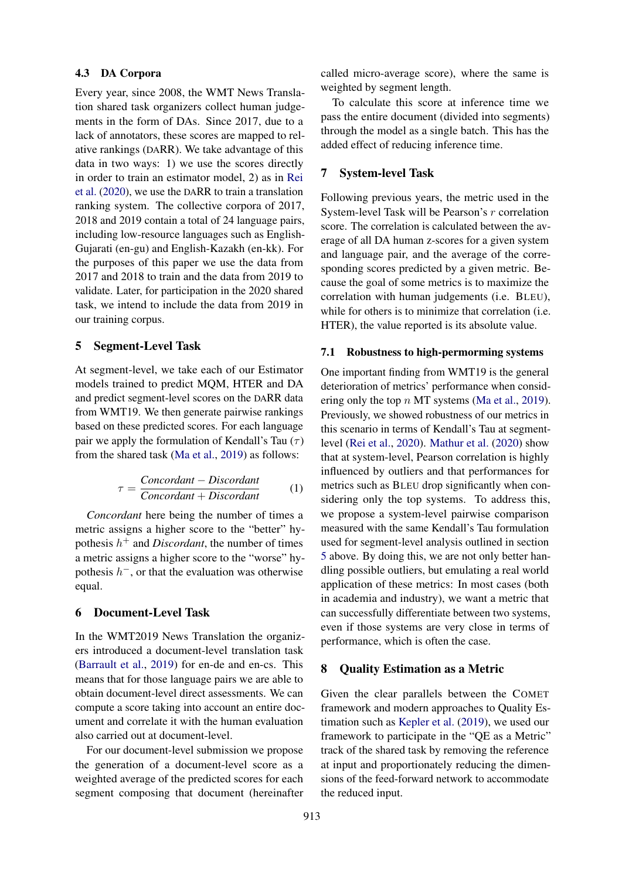### 4.3 DA Corpora

Every year, since 2008, the WMT News Translation shared task organizers collect human judgements in the form of DAs. Since 2017, due to a lack of annotators, these scores are mapped to relative rankings (DARR). We take advantage of this data in two ways: 1) we use the scores directly in order to train an estimator model, 2) as in [Rei](#page-7-0) [et al.](#page-7-0) [\(2020\)](#page-7-0), we use the DARR to train a translation ranking system. The collective corpora of 2017, 2018 and 2019 contain a total of 24 language pairs, including low-resource languages such as English-Gujarati (en-gu) and English-Kazakh (en-kk). For the purposes of this paper we use the data from 2017 and 2018 to train and the data from 2019 to validate. Later, for participation in the 2020 shared task, we intend to include the data from 2019 in our training corpus.

#### <span id="page-2-0"></span>5 Segment-Level Task

At segment-level, we take each of our Estimator models trained to predict MQM, HTER and DA and predict segment-level scores on the DARR data from WMT19. We then generate pairwise rankings based on these predicted scores. For each language pair we apply the formulation of Kendall's Tau  $(\tau)$ from the shared task [\(Ma et al.,](#page-6-6) [2019\)](#page-6-6) as follows:

$$
\tau = \frac{Concordant - Discount}{Concordant + Discount} \tag{1}
$$

*Concordant* here being the number of times a metric assigns a higher score to the "better" hypothesis  $h^+$  and *Discordant*, the number of times a metric assigns a higher score to the "worse" hypothesis  $h^-$ , or that the evaluation was otherwise equal.

## 6 Document-Level Task

In the WMT2019 News Translation the organizers introduced a document-level translation task [\(Barrault et al.,](#page-6-7) [2019\)](#page-6-7) for en-de and en-cs. This means that for those language pairs we are able to obtain document-level direct assessments. We can compute a score taking into account an entire document and correlate it with the human evaluation also carried out at document-level.

For our document-level submission we propose the generation of a document-level score as a weighted average of the predicted scores for each segment composing that document (hereinafter called micro-average score), where the same is weighted by segment length.

To calculate this score at inference time we pass the entire document (divided into segments) through the model as a single batch. This has the added effect of reducing inference time.

### 7 System-level Task

Following previous years, the metric used in the System-level Task will be Pearson's r correlation score. The correlation is calculated between the average of all DA human z-scores for a given system and language pair, and the average of the corresponding scores predicted by a given metric. Because the goal of some metrics is to maximize the correlation with human judgements (i.e. BLEU), while for others is to minimize that correlation *(i.e.*) HTER), the value reported is its absolute value.

#### 7.1 Robustness to high-permorming systems

One important finding from WMT19 is the general deterioration of metrics' performance when considering only the top  $n$  MT systems [\(Ma et al.,](#page-6-6) [2019\)](#page-6-6). Previously, we showed robustness of our metrics in this scenario in terms of Kendall's Tau at segmentlevel [\(Rei et al.,](#page-7-0) [2020\)](#page-7-0). [Mathur et al.](#page-6-8) [\(2020\)](#page-6-8) show that at system-level, Pearson correlation is highly influenced by outliers and that performances for metrics such as BLEU drop significantly when considering only the top systems. To address this, we propose a system-level pairwise comparison measured with the same Kendall's Tau formulation used for segment-level analysis outlined in section [5](#page-2-0) above. By doing this, we are not only better handling possible outliers, but emulating a real world application of these metrics: In most cases (both in academia and industry), we want a metric that can successfully differentiate between two systems, even if those systems are very close in terms of performance, which is often the case.

#### 8 Quality Estimation as a Metric

Given the clear parallels between the COMET framework and modern approaches to Quality Estimation such as [Kepler et al.](#page-6-9) [\(2019\)](#page-6-9), we used our framework to participate in the "QE as a Metric" track of the shared task by removing the reference at input and proportionately reducing the dimensions of the feed-forward network to accommodate the reduced input.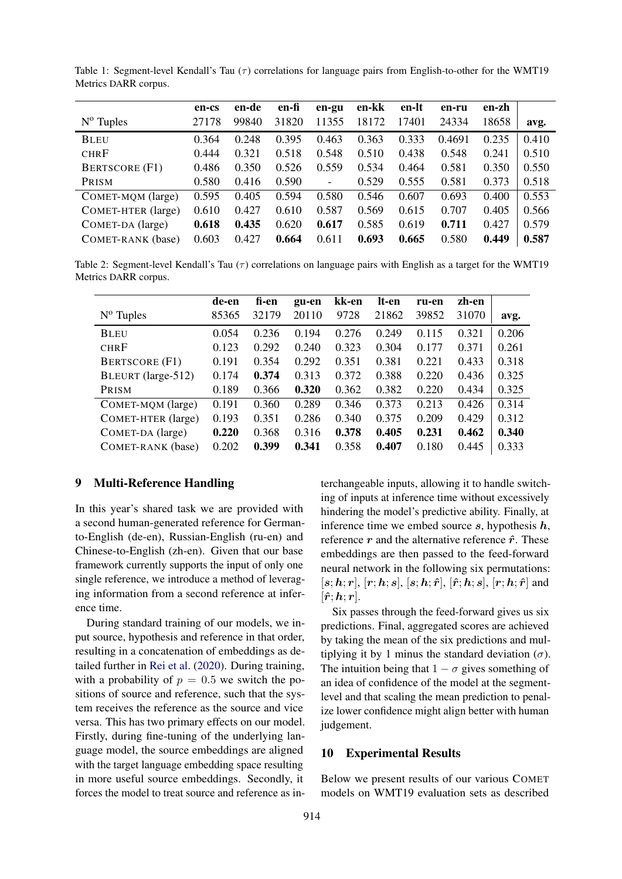|                       | en-cs | en-de | en-fi | en-gu                    | en-kk | en-lt | en-ru  | en-zh |       |
|-----------------------|-------|-------|-------|--------------------------|-------|-------|--------|-------|-------|
| $N^{\rm o}$ Tuples    | 27178 | 99840 | 31820 | 11355                    | 18172 | 17401 | 24334  | 18658 | avg.  |
| <b>BLEU</b>           | 0.364 | 0.248 | 0.395 | 0.463                    | 0.363 | 0.333 | 0.4691 | 0.235 | 0.410 |
| <b>CHRF</b>           | 0.444 | 0.321 | 0.518 | 0.548                    | 0.510 | 0.438 | 0.548  | 0.241 | 0.510 |
| <b>BERTSCORE (F1)</b> | 0.486 | 0.350 | 0.526 | 0.559                    | 0.534 | 0.464 | 0.581  | 0.350 | 0.550 |
| PRISM                 | 0.580 | 0.416 | 0.590 | $\overline{\phantom{a}}$ | 0.529 | 0.555 | 0.581  | 0.373 | 0.518 |
| COMET-MOM (large)     | 0.595 | 0.405 | 0.594 | 0.580                    | 0.546 | 0.607 | 0.693  | 0.400 | 0.553 |
| COMET-HTER (large)    | 0.610 | 0.427 | 0.610 | 0.587                    | 0.569 | 0.615 | 0.707  | 0.405 | 0.566 |
| COMET-DA (large)      | 0.618 | 0.435 | 0.620 | 0.617                    | 0.585 | 0.619 | 0.711  | 0.427 | 0.579 |
| COMET-RANK (base)     | 0.603 | 0.427 | 0.664 | 0.611                    | 0.693 | 0.665 | 0.580  | 0.449 | 0.587 |

<span id="page-3-0"></span>Table 1: Segment-level Kendall's Tau  $(\tau)$  correlations for language pairs from English-to-other for the WMT19 Metrics DARR corpus.

<span id="page-3-1"></span>Table 2: Segment-level Kendall's Tau  $(\tau)$  correlations on language pairs with English as a target for the WMT19 Metrics DARR corpus.

|                       | de-en | fi-en | gu-en | kk-en | lt-en | ru-en | zh-en |       |
|-----------------------|-------|-------|-------|-------|-------|-------|-------|-------|
| $N^{\rm o}$ Tuples    | 85365 | 32179 | 20110 | 9728  | 21862 | 39852 | 31070 | avg.  |
| <b>BLEU</b>           | 0.054 | 0.236 | 0.194 | 0.276 | 0.249 | 0.115 | 0.321 | 0.206 |
| <b>CHRF</b>           | 0.123 | 0.292 | 0.240 | 0.323 | 0.304 | 0.177 | 0.371 | 0.261 |
| <b>BERTSCORE</b> (F1) | 0.191 | 0.354 | 0.292 | 0.351 | 0.381 | 0.221 | 0.433 | 0.318 |
| BLEURT (large-512)    | 0.174 | 0.374 | 0.313 | 0.372 | 0.388 | 0.220 | 0.436 | 0.325 |
| PRISM                 | 0.189 | 0.366 | 0.320 | 0.362 | 0.382 | 0.220 | 0.434 | 0.325 |
| COMET-MQM (large)     | 0.191 | 0.360 | 0.289 | 0.346 | 0.373 | 0.213 | 0.426 | 0.314 |
| COMET-HTER (large)    | 0.193 | 0.351 | 0.286 | 0.340 | 0.375 | 0.209 | 0.429 | 0.312 |
| COMET-DA (large)      | 0.220 | 0.368 | 0.316 | 0.378 | 0.405 | 0.231 | 0.462 | 0.340 |
| COMET-RANK (base)     | 0.202 | 0.399 | 0.341 | 0.358 | 0.407 | 0.180 | 0.445 | 0.333 |

#### <span id="page-3-2"></span>9 Multi-Reference Handling

In this year's shared task we are provided with a second human-generated reference for Germanto-English (de-en), Russian-English (ru-en) and Chinese-to-English (zh-en). Given that our base framework currently supports the input of only one single reference, we introduce a method of leveraging information from a second reference at inference time.

During standard training of our models, we input source, hypothesis and reference in that order, resulting in a concatenation of embeddings as detailed further in [Rei et al.](#page-7-0) [\(2020\)](#page-7-0). During training, with a probability of  $p = 0.5$  we switch the positions of source and reference, such that the system receives the reference as the source and vice versa. This has two primary effects on our model. Firstly, during fine-tuning of the underlying language model, the source embeddings are aligned with the target language embedding space resulting in more useful source embeddings. Secondly, it forces the model to treat source and reference as interchangeable inputs, allowing it to handle switching of inputs at inference time without excessively hindering the model's predictive ability. Finally, at inference time we embed source  $s$ , hypothesis  $h$ , reference  $r$  and the alternative reference  $\hat{r}$ . These embeddings are then passed to the feed-forward neural network in the following six permutations:  $[s; h; r]$ ,  $[r; h; s]$ ,  $[s; h; \hat{r}]$ ,  $[\hat{r}; h; s]$ ,  $[r; h; \hat{r}]$  and  $[\hat{\boldsymbol{r}}; \boldsymbol{h}; \boldsymbol{r}].$ 

Six passes through the feed-forward gives us six predictions. Final, aggregated scores are achieved by taking the mean of the six predictions and multiplying it by 1 minus the standard deviation  $(\sigma)$ . The intuition being that  $1 - \sigma$  gives something of an idea of confidence of the model at the segmentlevel and that scaling the mean prediction to penalize lower confidence might align better with human judgement.

#### 10 Experimental Results

Below we present results of our various COMET models on WMT19 evaluation sets as described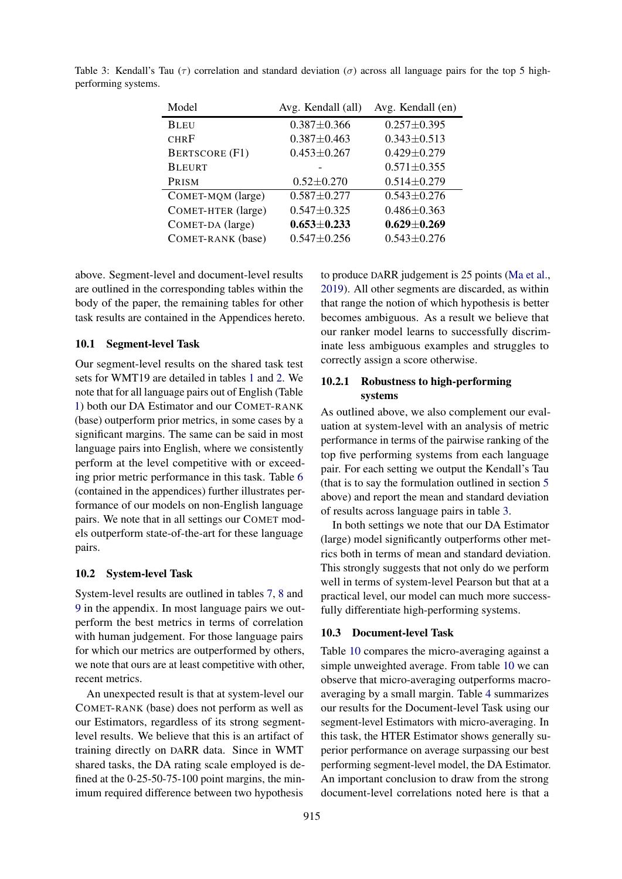| Model                 | Avg. Kendall (all) | Avg. Kendall (en) |
|-----------------------|--------------------|-------------------|
| <b>BLEU</b>           | $0.387 \pm 0.366$  | $0.257 \pm 0.395$ |
| <b>CHRF</b>           | $0.387 \pm 0.463$  | $0.343 \pm 0.513$ |
| <b>BERTSCORE (F1)</b> | $0.453 \pm 0.267$  | $0.429 \pm 0.279$ |
| <b>BLEURT</b>         |                    | $0.571 \pm 0.355$ |
| PRISM                 | $0.52 \pm 0.270$   | $0.514 \pm 0.279$ |
| COMET-MQM (large)     | $0.587 + 0.277$    | $0.543 \pm 0.276$ |
| COMET-HTER (large)    | $0.547 \pm 0.325$  | $0.486 \pm 0.363$ |
| COMET-DA (large)      | $0.653 \pm 0.233$  | $0.629 \pm 0.269$ |
| COMET-RANK (base)     | $0.547 + 0.256$    | $0.543 \pm 0.276$ |

<span id="page-4-0"></span>Table 3: Kendall's Tau ( $\tau$ ) correlation and standard deviation ( $\sigma$ ) across all language pairs for the top 5 highperforming systems.

above. Segment-level and document-level results are outlined in the corresponding tables within the body of the paper, the remaining tables for other task results are contained in the Appendices hereto.

### 10.1 Segment-level Task

Our segment-level results on the shared task test sets for WMT19 are detailed in tables [1](#page-3-0) and [2.](#page-3-1) We note that for all language pairs out of English (Table [1\)](#page-3-0) both our DA Estimator and our COMET-RANK (base) outperform prior metrics, in some cases by a significant margins. The same can be said in most language pairs into English, where we consistently perform at the level competitive with or exceeding prior metric performance in this task. Table [6](#page-8-0) (contained in the appendices) further illustrates performance of our models on non-English language pairs. We note that in all settings our COMET models outperform state-of-the-art for these language pairs.

#### 10.2 System-level Task

System-level results are outlined in tables [7,](#page-8-1) [8](#page-8-2) and [9](#page-9-0) in the appendix. In most language pairs we outperform the best metrics in terms of correlation with human judgement. For those language pairs for which our metrics are outperformed by others, we note that ours are at least competitive with other, recent metrics.

An unexpected result is that at system-level our COMET-RANK (base) does not perform as well as our Estimators, regardless of its strong segmentlevel results. We believe that this is an artifact of training directly on DARR data. Since in WMT shared tasks, the DA rating scale employed is defined at the 0-25-50-75-100 point margins, the minimum required difference between two hypothesis

to produce DARR judgement is 25 points [\(Ma et al.,](#page-6-6) [2019\)](#page-6-6). All other segments are discarded, as within that range the notion of which hypothesis is better becomes ambiguous. As a result we believe that our ranker model learns to successfully discriminate less ambiguous examples and struggles to correctly assign a score otherwise.

# 10.2.1 Robustness to high-performing systems

As outlined above, we also complement our evaluation at system-level with an analysis of metric performance in terms of the pairwise ranking of the top five performing systems from each language pair. For each setting we output the Kendall's Tau (that is to say the formulation outlined in section [5](#page-2-0) above) and report the mean and standard deviation of results across language pairs in table [3.](#page-4-0)

In both settings we note that our DA Estimator (large) model significantly outperforms other metrics both in terms of mean and standard deviation. This strongly suggests that not only do we perform well in terms of system-level Pearson but that at a practical level, our model can much more successfully differentiate high-performing systems.

#### 10.3 Document-level Task

Table [10](#page-9-1) compares the micro-averaging against a simple unweighted average. From table [10](#page-9-1) we can observe that micro-averaging outperforms macroaveraging by a small margin. Table [4](#page-5-0) summarizes our results for the Document-level Task using our segment-level Estimators with micro-averaging. In this task, the HTER Estimator shows generally superior performance on average surpassing our best performing segment-level model, the DA Estimator. An important conclusion to draw from the strong document-level correlations noted here is that a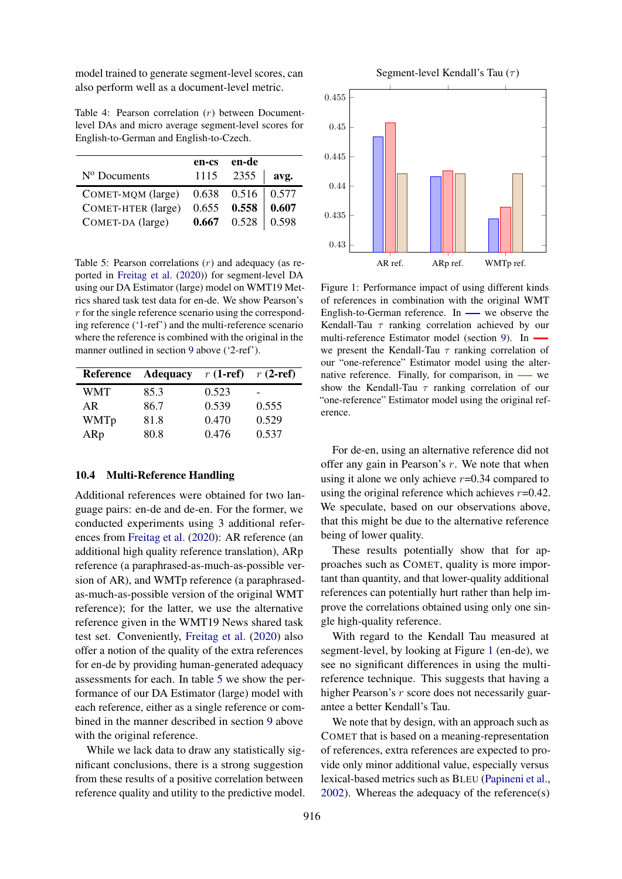model trained to generate segment-level scores, can also perform well as a document-level metric.

<span id="page-5-0"></span>Table 4: Pearson correlation (r) between Documentlevel DAs and micro average segment-level scores for English-to-German and English-to-Czech.

|                          | en-cs | en-de                 |              |
|--------------------------|-------|-----------------------|--------------|
| N <sup>o</sup> Documents | 1115  | 2355                  | avg.         |
| COMET-MQM (large)        |       | $0.638$ $0.516$ 0.577 |              |
| COMET-HTER (large)       |       | $0.655$ 0.558         | $\mid$ 0.607 |
| COMET-DA (large)         | 0.667 | $0.528$ 0.598         |              |

<span id="page-5-1"></span>Table 5: Pearson correlations  $(r)$  and adequacy (as reported in [Freitag et al.](#page-6-10) [\(2020\)](#page-6-10)) for segment-level DA using our DA Estimator (large) model on WMT19 Metrics shared task test data for en-de. We show Pearson's  $r$  for the single reference scenario using the corresponding reference ('1-ref') and the multi-reference scenario where the reference is combined with the original in the manner outlined in section [9](#page-3-2) above ('2-ref').

| <b>Reference</b> | <b>Adequacy</b> | $r(1-ref)$ | $r(2-ref)$ |
|------------------|-----------------|------------|------------|
| WMT              | 85.3            | 0.523      | -          |
| AR               | 86.7            | 0.539      | 0.555      |
| WMTp             | 81.8            | 0.470      | 0.529      |
| ARp              | 80.8            | 0.476      | 0.537      |

# 10.4 Multi-Reference Handling

Additional references were obtained for two language pairs: en-de and de-en. For the former, we conducted experiments using 3 additional references from [Freitag et al.](#page-6-10) [\(2020\)](#page-6-10): AR reference (an additional high quality reference translation), ARp reference (a paraphrased-as-much-as-possible version of AR), and WMTp reference (a paraphrasedas-much-as-possible version of the original WMT reference); for the latter, we use the alternative reference given in the WMT19 News shared task test set. Conveniently, [Freitag et al.](#page-6-10) [\(2020\)](#page-6-10) also offer a notion of the quality of the extra references for en-de by providing human-generated adequacy assessments for each. In table [5](#page-5-1) we show the performance of our DA Estimator (large) model with each reference, either as a single reference or combined in the manner described in section [9](#page-3-2) above with the original reference.

While we lack data to draw any statistically significant conclusions, there is a strong suggestion from these results of a positive correlation between reference quality and utility to the predictive model.

<span id="page-5-2"></span>

Figure 1: Performance impact of using different kinds of references in combination with the original WMT English-to-German reference. In  $\_\_\$ we observe the Kendall-Tau  $\tau$  ranking correlation achieved by our multi-reference Estimator model (section [9\)](#page-3-2). In we present the Kendall-Tau  $\tau$  ranking correlation of our "one-reference" Estimator model using the alternative reference. Finally, for comparison, in  $\_\_\_\$ we show the Kendall-Tau  $\tau$  ranking correlation of our "one-reference" Estimator model using the original reference.

For de-en, using an alternative reference did not offer any gain in Pearson's  $r$ . We note that when using it alone we only achieve  $r=0.34$  compared to using the original reference which achieves  $r=0.42$ . We speculate, based on our observations above, that this might be due to the alternative reference being of lower quality.

These results potentially show that for approaches such as COMET, quality is more important than quantity, and that lower-quality additional references can potentially hurt rather than help improve the correlations obtained using only one single high-quality reference.

With regard to the Kendall Tau measured at segment-level, by looking at Figure [1](#page-5-2) (en-de), we see no significant differences in using the multireference technique. This suggests that having a higher Pearson's r score does not necessarily guarantee a better Kendall's Tau.

We note that by design, with an approach such as COMET that is based on a meaning-representation of references, extra references are expected to provide only minor additional value, especially versus lexical-based metrics such as BLEU [\(Papineni et al.,](#page-6-11) [2002\)](#page-6-11). Whereas the adequacy of the reference(s)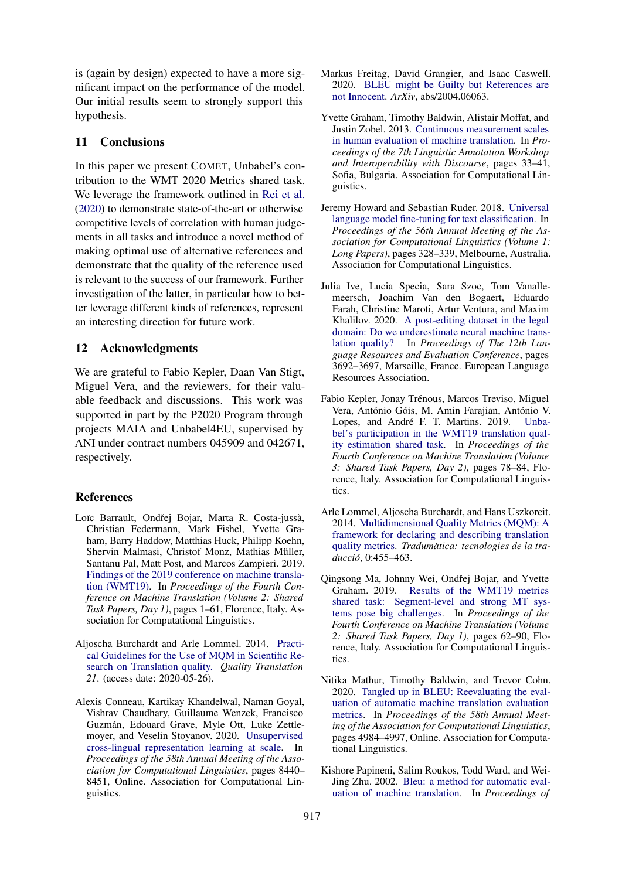is (again by design) expected to have a more significant impact on the performance of the model. Our initial results seem to strongly support this hypothesis.

## 11 Conclusions

In this paper we present COMET, Unbabel's contribution to the WMT 2020 Metrics shared task. We leverage the framework outlined in [Rei et al.](#page-7-0) [\(2020\)](#page-7-0) to demonstrate state-of-the-art or otherwise competitive levels of correlation with human judgements in all tasks and introduce a novel method of making optimal use of alternative references and demonstrate that the quality of the reference used is relevant to the success of our framework. Further investigation of the latter, in particular how to better leverage different kinds of references, represent an interesting direction for future work.

# 12 Acknowledgments

We are grateful to Fabio Kepler, Daan Van Stigt, Miguel Vera, and the reviewers, for their valuable feedback and discussions. This work was supported in part by the P2020 Program through projects MAIA and Unbabel4EU, supervised by ANI under contract numbers 045909 and 042671, respectively.

### References

- <span id="page-6-7"></span>Loïc Barrault, Ondřej Bojar, Marta R. Costa-jussà, Christian Federmann, Mark Fishel, Yvette Graham, Barry Haddow, Matthias Huck, Philipp Koehn, Shervin Malmasi, Christof Monz, Mathias Müller, Santanu Pal, Matt Post, and Marcos Zampieri. 2019. [Findings of the 2019 conference on machine transla](https://doi.org/10.18653/v1/W19-5301)[tion \(WMT19\).](https://doi.org/10.18653/v1/W19-5301) In *Proceedings of the Fourth Conference on Machine Translation (Volume 2: Shared Task Papers, Day 1)*, pages 1–61, Florence, Italy. Association for Computational Linguistics.
- <span id="page-6-5"></span>Aljoscha Burchardt and Arle Lommel. 2014. [Practi](http://www.qt21.eu/downloads/MQM-usage-guidelines.pdf)[cal Guidelines for the Use of MQM in Scientific Re](http://www.qt21.eu/downloads/MQM-usage-guidelines.pdf)[search on Translation quality.](http://www.qt21.eu/downloads/MQM-usage-guidelines.pdf) *Quality Translation 21*. (access date: 2020-05-26).
- <span id="page-6-0"></span>Alexis Conneau, Kartikay Khandelwal, Naman Goyal, Vishrav Chaudhary, Guillaume Wenzek, Francisco Guzman, Edouard Grave, Myle Ott, Luke Zettle- ´ moyer, and Veselin Stoyanov. 2020. [Unsupervised](https://doi.org/10.18653/v1/2020.acl-main.747) [cross-lingual representation learning at scale.](https://doi.org/10.18653/v1/2020.acl-main.747) In *Proceedings of the 58th Annual Meeting of the Association for Computational Linguistics*, pages 8440– 8451, Online. Association for Computational Linguistics.
- <span id="page-6-10"></span>Markus Freitag, David Grangier, and Isaac Caswell. 2020. [BLEU might be Guilty but References are](https://arxiv.org/abs/2004.06063) [not Innocent.](https://arxiv.org/abs/2004.06063) *ArXiv*, abs/2004.06063.
- <span id="page-6-2"></span>Yvette Graham, Timothy Baldwin, Alistair Moffat, and Justin Zobel. 2013. [Continuous measurement scales](https://www.aclweb.org/anthology/W13-2305) [in human evaluation of machine translation.](https://www.aclweb.org/anthology/W13-2305) In *Proceedings of the 7th Linguistic Annotation Workshop and Interoperability with Discourse*, pages 33–41, Sofia, Bulgaria. Association for Computational Linguistics.
- <span id="page-6-3"></span>Jeremy Howard and Sebastian Ruder. 2018. [Universal](https://doi.org/10.18653/v1/P18-1031) [language model fine-tuning for text classification.](https://doi.org/10.18653/v1/P18-1031) In *Proceedings of the 56th Annual Meeting of the Association for Computational Linguistics (Volume 1: Long Papers)*, pages 328–339, Melbourne, Australia. Association for Computational Linguistics.
- <span id="page-6-4"></span>Julia Ive, Lucia Specia, Sara Szoc, Tom Vanallemeersch, Joachim Van den Bogaert, Eduardo Farah, Christine Maroti, Artur Ventura, and Maxim Khalilov. 2020. [A post-editing dataset in the legal](https://www.aclweb.org/anthology/2020.lrec-1.455) [domain: Do we underestimate neural machine trans](https://www.aclweb.org/anthology/2020.lrec-1.455)[lation quality?](https://www.aclweb.org/anthology/2020.lrec-1.455) In *Proceedings of The 12th Language Resources and Evaluation Conference*, pages 3692–3697, Marseille, France. European Language Resources Association.
- <span id="page-6-9"></span>Fabio Kepler, Jonay Trénous, Marcos Treviso, Miguel Vera. António Góis, M. Amin Farajian, António V. Lopes, and André F. T. Martins. 2019. [Unba](https://doi.org/10.18653/v1/W19-5406)[bel's participation in the WMT19 translation qual](https://doi.org/10.18653/v1/W19-5406)[ity estimation shared task.](https://doi.org/10.18653/v1/W19-5406) In *Proceedings of the Fourth Conference on Machine Translation (Volume 3: Shared Task Papers, Day 2)*, pages 78–84, Florence, Italy. Association for Computational Linguistics.
- <span id="page-6-1"></span>Arle Lommel, Aljoscha Burchardt, and Hans Uszkoreit. 2014. [Multidimensional Quality Metrics \(MQM\): A](https://doi.org/10.5565/rev/tradumatica.77) [framework for declaring and describing translation](https://doi.org/10.5565/rev/tradumatica.77) [quality metrics.](https://doi.org/10.5565/rev/tradumatica.77) *Tradumatica: tecnologies de la tra- ` duccio´*, 0:455–463.
- <span id="page-6-6"></span>Qingsong Ma, Johnny Wei, Ondřej Bojar, and Yvette Graham. 2019. [Results of the WMT19 metrics](https://doi.org/10.18653/v1/W19-5302) [shared task: Segment-level and strong MT sys](https://doi.org/10.18653/v1/W19-5302)[tems pose big challenges.](https://doi.org/10.18653/v1/W19-5302) In *Proceedings of the Fourth Conference on Machine Translation (Volume 2: Shared Task Papers, Day 1)*, pages 62–90, Florence, Italy. Association for Computational Linguistics.
- <span id="page-6-8"></span>Nitika Mathur, Timothy Baldwin, and Trevor Cohn. 2020. [Tangled up in BLEU: Reevaluating the eval](https://doi.org/10.18653/v1/2020.acl-main.448)[uation of automatic machine translation evaluation](https://doi.org/10.18653/v1/2020.acl-main.448) [metrics.](https://doi.org/10.18653/v1/2020.acl-main.448) In *Proceedings of the 58th Annual Meeting of the Association for Computational Linguistics*, pages 4984–4997, Online. Association for Computational Linguistics.
- <span id="page-6-11"></span>Kishore Papineni, Salim Roukos, Todd Ward, and Wei-Jing Zhu. 2002. [Bleu: a method for automatic eval](https://doi.org/10.3115/1073083.1073135)[uation of machine translation.](https://doi.org/10.3115/1073083.1073135) In *Proceedings of*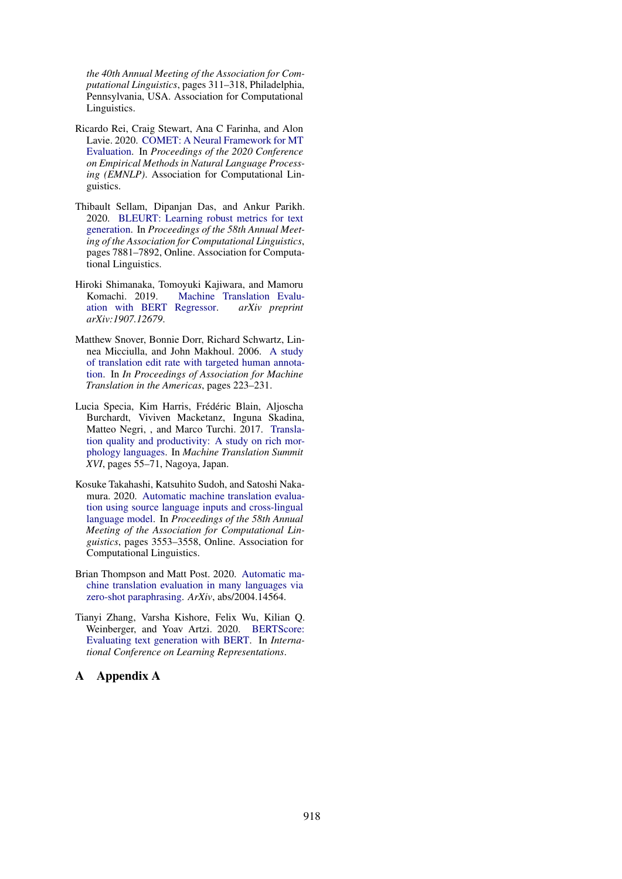*the 40th Annual Meeting of the Association for Computational Linguistics*, pages 311–318, Philadelphia, Pennsylvania, USA. Association for Computational Linguistics.

- <span id="page-7-0"></span>Ricardo Rei, Craig Stewart, Ana C Farinha, and Alon Lavie. 2020. [COMET: A Neural Framework for MT](https://arxiv.org/abs/2009.09025) [Evaluation.](https://arxiv.org/abs/2009.09025) In *Proceedings of the 2020 Conference on Empirical Methods in Natural Language Processing (EMNLP)*. Association for Computational Linguistics.
- <span id="page-7-3"></span>Thibault Sellam, Dipanjan Das, and Ankur Parikh. 2020. [BLEURT: Learning robust metrics for text](https://doi.org/10.18653/v1/2020.acl-main.704) [generation.](https://doi.org/10.18653/v1/2020.acl-main.704) In *Proceedings of the 58th Annual Meeting of the Association for Computational Linguistics*, pages 7881–7892, Online. Association for Computational Linguistics.
- <span id="page-7-1"></span>Hiroki Shimanaka, Tomoyuki Kajiwara, and Mamoru Komachi. 2019. Machine Translation Evalu-<br>ation with BERT Regressor. *arXiv preprint* ation with **BERT** Regressor. *arXiv:1907.12679*.
- <span id="page-7-6"></span>Matthew Snover, Bonnie Dorr, Richard Schwartz, Linnea Micciulla, and John Makhoul. 2006. [A study](http://www.mt-archive.info/05/AMTA-2006-Snover.pdf) [of translation edit rate with targeted human annota](http://www.mt-archive.info/05/AMTA-2006-Snover.pdf)[tion.](http://www.mt-archive.info/05/AMTA-2006-Snover.pdf) In *In Proceedings of Association for Machine Translation in the Americas*, pages 223–231.
- <span id="page-7-7"></span>Lucia Specia, Kim Harris, Frédéric Blain, Aljoscha Burchardt, Viviven Macketanz, Inguna Skadina, Matteo Negri, , and Marco Turchi. 2017. [Transla](https://www.dfki.de/lt/publication_show.php?id=9490)[tion quality and productivity: A study on rich mor](https://www.dfki.de/lt/publication_show.php?id=9490)[phology languages.](https://www.dfki.de/lt/publication_show.php?id=9490) In *Machine Translation Summit XVI*, pages 55–71, Nagoya, Japan.
- <span id="page-7-4"></span>Kosuke Takahashi, Katsuhito Sudoh, and Satoshi Nakamura. 2020. [Automatic machine translation evalua](https://doi.org/10.18653/v1/2020.acl-main.327)[tion using source language inputs and cross-lingual](https://doi.org/10.18653/v1/2020.acl-main.327) [language model.](https://doi.org/10.18653/v1/2020.acl-main.327) In *Proceedings of the 58th Annual Meeting of the Association for Computational Linguistics*, pages 3553–3558, Online. Association for Computational Linguistics.
- <span id="page-7-5"></span>Brian Thompson and Matt Post. 2020. [Automatic ma](https://arxiv.org/abs/2004.14564)[chine translation evaluation in many languages via](https://arxiv.org/abs/2004.14564) [zero-shot paraphrasing.](https://arxiv.org/abs/2004.14564) *ArXiv*, abs/2004.14564.
- <span id="page-7-2"></span>Tianyi Zhang, Varsha Kishore, Felix Wu, Kilian Q. Weinberger, and Yoav Artzi. 2020. [BERTScore:](https://openreview.net/forum?id=SkeHuCVFDr) [Evaluating text generation with BERT.](https://openreview.net/forum?id=SkeHuCVFDr) In *International Conference on Learning Representations*.

# A Appendix A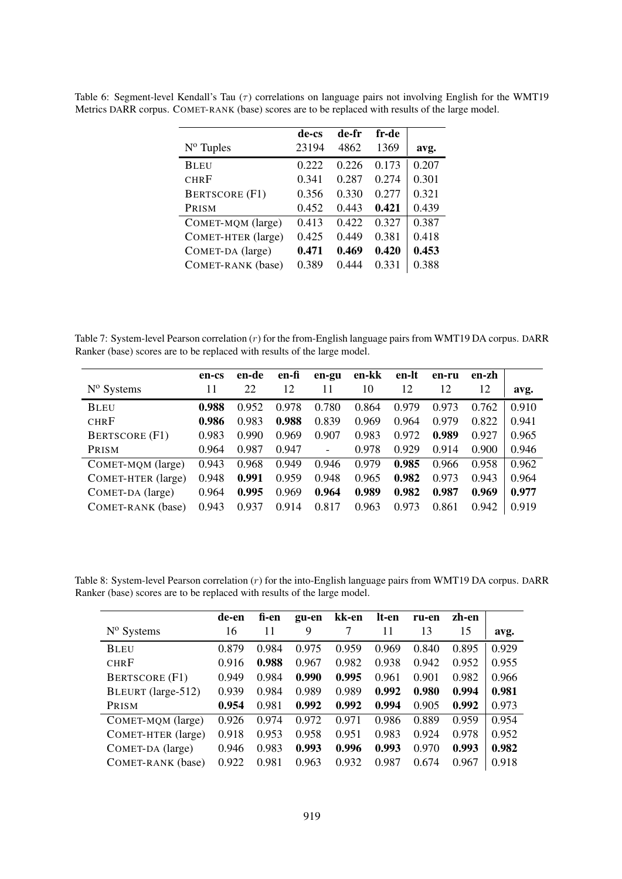|                       | de-cs | de-fr | fr-de |       |
|-----------------------|-------|-------|-------|-------|
| $N^{\rm o}$ Tuples    | 23194 | 4862  | 1369  | avg.  |
| <b>BLEU</b>           | 0.222 | 0.226 | 0.173 | 0.207 |
| <b>CHRF</b>           | 0.341 | 0.287 | 0.274 | 0.301 |
| <b>BERTSCORE (F1)</b> | 0.356 | 0.330 | 0.277 | 0.321 |
| PRISM                 | 0.452 | 0.443 | 0.421 | 0.439 |
| COMET-MQM (large)     | 0.413 | 0.422 | 0.327 | 0.387 |
| COMET-HTER (large)    | 0.425 | 0.449 | 0.381 | 0.418 |
| COMET-DA (large)      | 0.471 | 0.469 | 0.420 | 0.453 |
| COMET-RANK (base)     | 0.389 | 0.444 | 0.331 | 0.388 |

<span id="page-8-0"></span>Table 6: Segment-level Kendall's Tau  $(\tau)$  correlations on language pairs not involving English for the WMT19 Metrics DARR corpus. COMET-RANK (base) scores are to be replaced with results of the large model.

<span id="page-8-1"></span>Table 7: System-level Pearson correlation  $(r)$  for the from-English language pairs from WMT19 DA corpus. DARR Ranker (base) scores are to be replaced with results of the large model.

|                       | en-cs | en-de | en-fi | en-gu | en-kk | en-lt | en-ru | en-zh |       |
|-----------------------|-------|-------|-------|-------|-------|-------|-------|-------|-------|
| $N^{\rm o}$ Systems   | 11    | 22    | 12    | 11    | 10    | 12    | 12    | 12    | avg.  |
| <b>BLEU</b>           | 0.988 | 0.952 | 0.978 | 0.780 | 0.864 | 0.979 | 0.973 | 0.762 | 0.910 |
| <b>CHRF</b>           | 0.986 | 0.983 | 0.988 | 0.839 | 0.969 | 0.964 | 0.979 | 0.822 | 0.941 |
| <b>BERTSCORE (F1)</b> | 0.983 | 0.990 | 0.969 | 0.907 | 0.983 | 0.972 | 0.989 | 0.927 | 0.965 |
| PRISM                 | 0.964 | 0.987 | 0.947 | -     | 0.978 | 0.929 | 0.914 | 0.900 | 0.946 |
| COMET-MOM (large)     | 0.943 | 0.968 | 0.949 | 0.946 | 0.979 | 0.985 | 0.966 | 0.958 | 0.962 |
| COMET-HTER (large)    | 0.948 | 0.991 | 0.959 | 0.948 | 0.965 | 0.982 | 0.973 | 0.943 | 0.964 |
| COMET-DA (large)      | 0.964 | 0.995 | 0.969 | 0.964 | 0.989 | 0.982 | 0.987 | 0.969 | 0.977 |
| COMET-RANK (base)     | 0.943 | 0.937 | 0.914 | 0.817 | 0.963 | 0.973 | 0.861 | 0.942 | 0.919 |

<span id="page-8-2"></span>Table 8: System-level Pearson correlation (r) for the into-English language pairs from WMT19 DA corpus. DARR Ranker (base) scores are to be replaced with results of the large model.

|                       | de-en | fi-en | gu-en | kk-en | lt-en | ru-en | zh-en |       |
|-----------------------|-------|-------|-------|-------|-------|-------|-------|-------|
| $N^{\rm o}$ Systems   | 16    | 11    | 9     |       | 11    | 13    | 15    | avg.  |
| <b>BLEU</b>           | 0.879 | 0.984 | 0.975 | 0.959 | 0.969 | 0.840 | 0.895 | 0.929 |
| <b>CHRF</b>           | 0.916 | 0.988 | 0.967 | 0.982 | 0.938 | 0.942 | 0.952 | 0.955 |
| <b>BERTSCORE</b> (F1) | 0.949 | 0.984 | 0.990 | 0.995 | 0.961 | 0.901 | 0.982 | 0.966 |
| BLEURT (large-512)    | 0.939 | 0.984 | 0.989 | 0.989 | 0.992 | 0.980 | 0.994 | 0.981 |
| PRISM                 | 0.954 | 0.981 | 0.992 | 0.992 | 0.994 | 0.905 | 0.992 | 0.973 |
| COMET-MQM (large)     | 0.926 | 0.974 | 0.972 | 0.971 | 0.986 | 0.889 | 0.959 | 0.954 |
| COMET-HTER (large)    | 0.918 | 0.953 | 0.958 | 0.951 | 0.983 | 0.924 | 0.978 | 0.952 |
| COMET-DA (large)      | 0.946 | 0.983 | 0.993 | 0.996 | 0.993 | 0.970 | 0.993 | 0.982 |
| COMET-RANK (base)     | 0.922 | 0.981 | 0.963 | 0.932 | 0.987 | 0.674 | 0.967 | 0.918 |